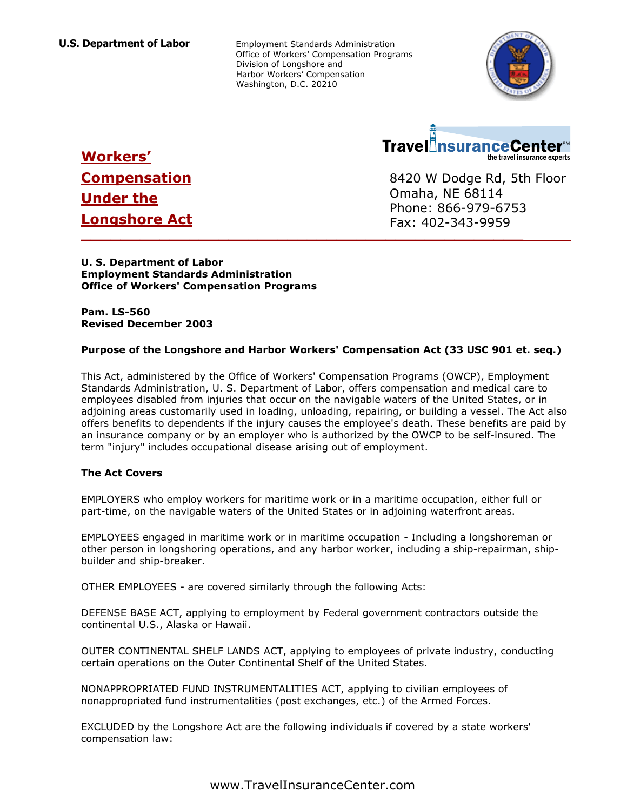**U.S. Department of Labor** Employment Standards Administration Office of Workers' Compensation Programs Division of Longshore and Harbor Workers' Compensation Washington, D.C. 20210





**\_\_\_\_\_\_\_\_\_\_\_\_\_\_\_\_\_\_\_\_\_\_\_\_\_\_\_\_\_\_\_\_\_\_\_\_\_\_\_\_\_\_\_\_\_** 8420 W Dodge Rd, 5th Floor Omaha, NE 68114 Phone: 866-979-6753 Fax: 402-343-9959

# **Workers' Compensation Under the Longshore Act**

**U. S. Department of Labor Employment Standards Administration Office of Workers' Compensation Programs** 

**Pam. LS-560 Revised December 2003** 

## **Purpose of the Longshore and Harbor Workers' Compensation Act (33 USC 901 et. seq.)**

This Act, administered by the Office of Workers' Compensation Programs (OWCP), Employment Standards Administration, U. S. Department of Labor, offers compensation and medical care to employees disabled from injuries that occur on the navigable waters of the United States, or in adjoining areas customarily used in loading, unloading, repairing, or building a vessel. The Act also offers benefits to dependents if the injury causes the employee's death. These benefits are paid by an insurance company or by an employer who is authorized by the OWCP to be self-insured. The term "injury" includes occupational disease arising out of employment.

## **The Act Covers**

EMPLOYERS who employ workers for maritime work or in a maritime occupation, either full or part-time, on the navigable waters of the United States or in adjoining waterfront areas.

EMPLOYEES engaged in maritime work or in maritime occupation - Including a longshoreman or other person in longshoring operations, and any harbor worker, including a ship-repairman, shipbuilder and ship-breaker.

OTHER EMPLOYEES - are covered similarly through the following Acts:

DEFENSE BASE ACT, applying to employment by Federal government contractors outside the continental U.S., Alaska or Hawaii.

OUTER CONTINENTAL SHELF LANDS ACT, applying to employees of private industry, conducting certain operations on the Outer Continental Shelf of the United States.

NONAPPROPRIATED FUND INSTRUMENTALITIES ACT, applying to civilian employees of nonappropriated fund instrumentalities (post exchanges, etc.) of the Armed Forces.

EXCLUDED by the Longshore Act are the following individuals if covered by a state workers' compensation law: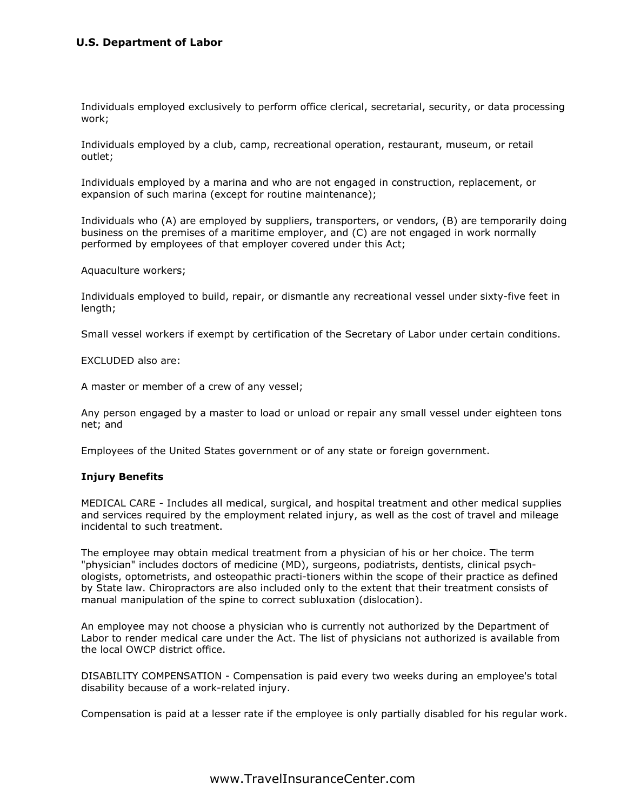## **U.S. Department of Labor**

Individuals employed exclusively to perform office clerical, secretarial, security, or data processing work;

Individuals employed by a club, camp, recreational operation, restaurant, museum, or retail outlet;

Individuals employed by a marina and who are not engaged in construction, replacement, or expansion of such marina (except for routine maintenance);

Individuals who (A) are employed by suppliers, transporters, or vendors, (B) are temporarily doing business on the premises of a maritime employer, and (C) are not engaged in work normally performed by employees of that employer covered under this Act;

Aquaculture workers;

Individuals employed to build, repair, or dismantle any recreational vessel under sixty-five feet in length;

Small vessel workers if exempt by certification of the Secretary of Labor under certain conditions.

EXCLUDED also are:

A master or member of a crew of any vessel;

Any person engaged by a master to load or unload or repair any small vessel under eighteen tons net; and

Employees of the United States government or of any state or foreign government.

#### **Injury Benefits**

MEDICAL CARE - Includes all medical, surgical, and hospital treatment and other medical supplies and services required by the employment related injury, as well as the cost of travel and mileage incidental to such treatment.

The employee may obtain medical treatment from a physician of his or her choice. The term "physician" includes doctors of medicine (MD), surgeons, podiatrists, dentists, clinical psychologists, optometrists, and osteopathic practi-tioners within the scope of their practice as defined by State law. Chiropractors are also included only to the extent that their treatment consists of manual manipulation of the spine to correct subluxation (dislocation).

An employee may not choose a physician who is currently not authorized by the Department of Labor to render medical care under the Act. The list of physicians not authorized is available from the local OWCP district office.

DISABILITY COMPENSATION - Compensation is paid every two weeks during an employee's total disability because of a work-related injury.

Compensation is paid at a lesser rate if the employee is only partially disabled for his regular work.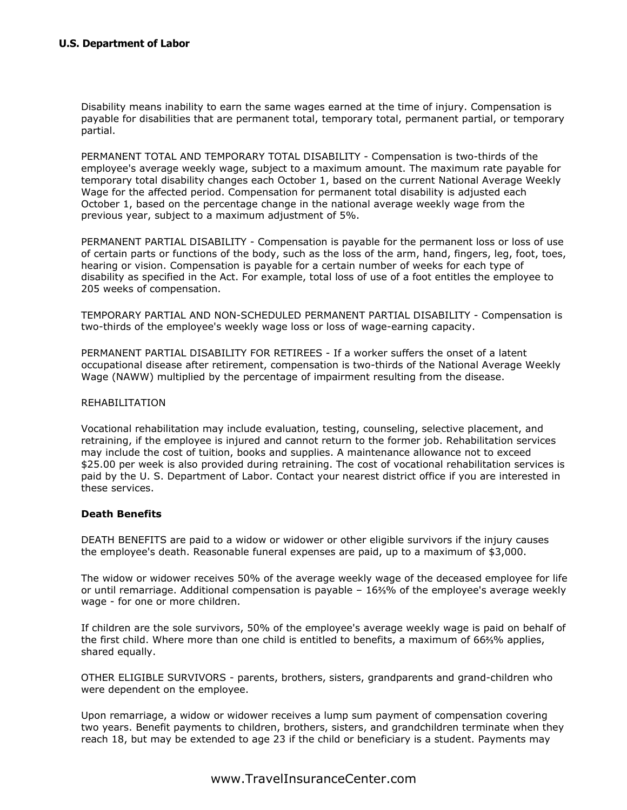Disability means inability to earn the same wages earned at the time of injury. Compensation is payable for disabilities that are permanent total, temporary total, permanent partial, or temporary partial.

PERMANENT TOTAL AND TEMPORARY TOTAL DISABILITY - Compensation is two-thirds of the employee's average weekly wage, subject to a maximum amount. The maximum rate payable for temporary total disability changes each October 1, based on the current National Average Weekly Wage for the affected period. Compensation for permanent total disability is adjusted each October 1, based on the percentage change in the national average weekly wage from the previous year, subject to a maximum adjustment of 5%.

PERMANENT PARTIAL DISABILITY - Compensation is payable for the permanent loss or loss of use of certain parts or functions of the body, such as the loss of the arm, hand, fingers, leg, foot, toes, hearing or vision. Compensation is payable for a certain number of weeks for each type of disability as specified in the Act. For example, total loss of use of a foot entitles the employee to 205 weeks of compensation.

TEMPORARY PARTIAL AND NON-SCHEDULED PERMANENT PARTIAL DISABILITY - Compensation is two-thirds of the employee's weekly wage loss or loss of wage-earning capacity.

PERMANENT PARTIAL DISABILITY FOR RETIREES - If a worker suffers the onset of a latent occupational disease after retirement, compensation is two-thirds of the National Average Weekly Wage (NAWW) multiplied by the percentage of impairment resulting from the disease.

#### REHABILITATION

Vocational rehabilitation may include evaluation, testing, counseling, selective placement, and retraining, if the employee is injured and cannot return to the former job. Rehabilitation services may include the cost of tuition, books and supplies. A maintenance allowance not to exceed \$25.00 per week is also provided during retraining. The cost of vocational rehabilitation services is paid by the U. S. Department of Labor. Contact your nearest district office if you are interested in these services.

## **Death Benefits**

DEATH BENEFITS are paid to a widow or widower or other eligible survivors if the injury causes the employee's death. Reasonable funeral expenses are paid, up to a maximum of \$3,000.

The widow or widower receives 50% of the average weekly wage of the deceased employee for life or until remarriage. Additional compensation is payable  $-16\frac{20}{10}$  of the employee's average weekly wage - for one or more children.

If children are the sole survivors, 50% of the employee's average weekly wage is paid on behalf of the first child. Where more than one child is entitled to benefits, a maximum of 66%% applies, shared equally.

OTHER ELIGIBLE SURVIVORS - parents, brothers, sisters, grandparents and grand-children who were dependent on the employee.

Upon remarriage, a widow or widower receives a lump sum payment of compensation covering two years. Benefit payments to children, brothers, sisters, and grandchildren terminate when they reach 18, but may be extended to age 23 if the child or beneficiary is a student. Payments may